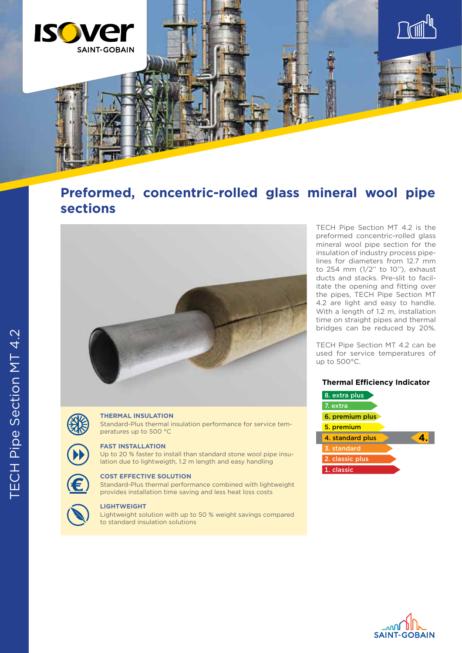

# **Preformed, concentric-rolled glass mineral wool pipe sections**





### **THERMAL INSULATION**

Standard-Plus thermal insulation performance for service temperatures up to 500 °C

## **FAST INSTALLATION**

Up to 20 % faster to install than standard stone wool pipe insulation due to lightweigth, 1.2 m length and easy handling





## **LIGHTWEIGHT**

Lightweight solution with up to 50 % weight savings compared to standard insulation solutions

TECH Pipe Section MT 4.2 is the preformed concentric-rolled glass mineral wool pipe section for the insulation of industry process pipelines for diameters from 12.7 mm to 254 mm (1/2'' to 10''), exhaust ducts and stacks. Pre-slit to facilitate the opening and fitting over the pipes, TECH Pipe Section MT 4.2 are light and easy to handle. With a length of 1.2 m, installation time on straight pipes and thermal bridges can be reduced by 20%.

TECH Pipe Section MT 4.2 can be used for service temperatures of up to 500°C.

## **Thermal Efficiency Indicator**